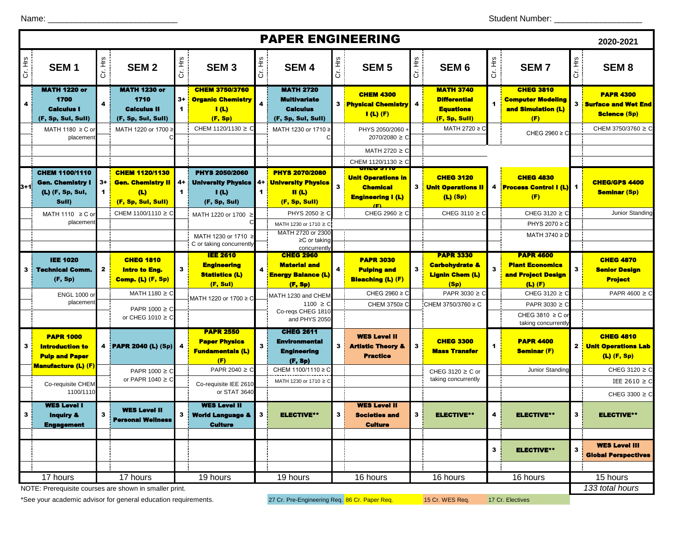|        |                                                                               |                         |                                                                                |                              |                                                                                                |                        | <b>PAPER ENGINEERING</b>                                                                 |        |                                                                          |         |                                                                                 |                |                                                                                 |         | 2020-2021                                                               |
|--------|-------------------------------------------------------------------------------|-------------------------|--------------------------------------------------------------------------------|------------------------------|------------------------------------------------------------------------------------------------|------------------------|------------------------------------------------------------------------------------------|--------|--------------------------------------------------------------------------|---------|---------------------------------------------------------------------------------|----------------|---------------------------------------------------------------------------------|---------|-------------------------------------------------------------------------|
| Ξ<br>ö | SEM <sub>1</sub>                                                              | Cr. Hrs                 | SEM <sub>2</sub>                                                               | Cr. Hrs                      | SEM <sub>3</sub>                                                                               | Cr. Hrs                | SEM <sub>4</sub>                                                                         | 主<br>ご | SEM <sub>5</sub>                                                         | Cr. Hrs | SEM <sub>6</sub>                                                                | Cr. Hrs        | <b>SEM7</b>                                                                     | Cr. Hrs | SEM <sub>8</sub>                                                        |
| 4      | <b>MATH 1220 or</b><br>1700<br><b>Calculus I</b><br>(F, Sp, Sul, Sull)        |                         | <b>MATH 1230 or</b><br>1710<br><b>Calculus II</b><br>(F, Sp, Sul, Sull)        | $3+$<br>$\blacktriangleleft$ | <b>CHEM 3750/3760</b><br><b>Organic Chemistry</b><br>I(L)<br>(F, Sp)                           | 4                      | <b>MATH 2720</b><br><b>Multivariate</b><br><b>Calculus</b><br>(F, Sp, Sul, Sull)         |        | <b>CHEM 4300</b><br>3 <b>Physical Chemistry</b> 4<br>$I(L)$ (F)          |         | <b>MATH 3740</b><br><b>Differential</b><br><b>Equations</b><br>(F, Sp, Sull)    |                | <b>CHEG 3810</b><br><b>Computer Modeling</b><br>and Simulation (L)<br>(F)       |         | <b>PAPR 4300</b><br>3 <b>Surface and Wet End</b><br><b>Science (Sp)</b> |
|        | MATH 1180 $\geq$ C or<br>placemen                                             |                         | MATH 1220 or 1700 ≥                                                            |                              | CHEM 1120/1130 ≥ C                                                                             |                        | MATH 1230 or 1710 ≥                                                                      |        | PHYS 2050/2060 +<br>$2070/2080 \ge C$                                    |         | MATH 2720 ≥ C                                                                   |                | CHEG 2960 $\geq$ C                                                              |         | CHEM 3750/3760 ≥ C                                                      |
|        |                                                                               |                         |                                                                                |                              |                                                                                                |                        |                                                                                          |        | MATH 2720 ≥ C<br>CHEM 1120/1130 ≥ C                                      |         |                                                                                 |                |                                                                                 |         |                                                                         |
| l3+1i  | <b>CHEM 1100/1110</b><br><b>Gen. Chemistry I</b><br>(L) (F, Sp, Sul,<br>Sull) | 3+ <mark>:</mark><br>1. | <b>CHEM 1120/1130</b><br><b>Gen. Chemistry II</b><br>(L)<br>(F, Sp, Sul, Sull) | 4+ 1<br>$\blacktriangleleft$ | <b>PHYS 2050/2060</b><br><b>University Physics</b><br>$\mathsf{I}(\mathsf{L})$<br>(F, Sp, Sul) | $4 + 1$<br>$\mathbf 1$ | <b>PHYS 2070/2080</b><br><b>University Physics</b><br>$\mathbf{II}$ (L)<br>(F, Sp, Sull) | 3      | <b>Unit Operations in</b><br><b>Chemical</b><br><b>Engineering I (L)</b> |         | <b>CHEG 3120</b><br><b>3</b> Unit Operations II<br>$(L)$ (Sp)                   |                | <b>CHEG 4830</b><br>4 <b>Process Control I (L)</b> 1<br>(F)                     |         | <b>CHEG/GPS 4400</b><br><b>Seminar (Sp)</b>                             |
|        | MATH 1110 $\geq$ C or<br>placemen                                             |                         | CHEM 1100/1110 ≥ C                                                             |                              | MATH 1220 or 1700                                                                              |                        | PHYS 2050 $\geq$ C<br>MATH 1230 or 1710 ≥ C                                              |        | CHEG 2960 $\geq$ C                                                       |         | CHEG 3110 $\geq$ C                                                              |                | CHEG 3120 $\geq$ C<br>PHYS 2070 ≥ C                                             |         | Junior Standing                                                         |
|        |                                                                               |                         |                                                                                |                              | MATH 1230 or 1710 ≥<br>C or taking concurrently                                                |                        | MATH 2720 or 2300<br>$\geq$ C or taking<br>concurrently                                  |        |                                                                          |         |                                                                                 |                | MATH 3740 $\geq$ D                                                              |         |                                                                         |
|        | <b>IEE 1020</b><br><b>3 : Technical Comm.</b><br>(F, Sp)                      | 2                       | <b>CHEG 1810</b><br>Intro to Eng.<br>Comp. (L) (F, Sp)                         | $\mathbf{3}$                 | <b>IEE 2610</b><br><b>Engineering</b><br><b>Statistics (L)</b><br>(F, Sul)                     |                        | <b>CHEG 2960</b><br>Material and<br><b>Energy Balance (L)</b><br>(F, Sp)                 |        | <b>PAPR 3030</b><br><b>Pulping and</b><br><b>Bleaching (L) (F)</b>       | 3       | <b>PAPR 3330</b><br><b>Carbohydrate &amp;</b><br><b>Lignin Chem (L)</b><br>(Sp) | 3              | <b>PAPR 4600</b><br><b>Plant Economics</b><br>and Project Design<br>$(L)$ $(F)$ | 3       | <b>CHEG 4870</b><br><b>Senior Design</b><br><b>Project</b>              |
|        | <b>ENGL 1000 or</b>                                                           |                         | MATH 1180 $\geq$ C                                                             |                              | MATH 1220 or 1700 ≥ C                                                                          |                        | MATH 1230 and CHEM                                                                       |        | CHEG 2960 $\geq$ C                                                       |         | PAPR 3030 $\geq$ C                                                              |                | CHEG 3120 $\geq$ C                                                              |         | PAPR $4600 \ge C$                                                       |
|        | placemen                                                                      |                         | PAPR $1000 \ge C$<br>or CHEG 1010 $\geq$ C                                     |                              |                                                                                                |                        | $1100 \ge C$<br>Co-regs CHEG 1810<br>and PHYS 2050                                       |        | CHEM 3750≥ C                                                             |         | CHEM 3750/3760 ≥ C                                                              |                | PAPR 3030 ≥ C<br>CHEG 3810 $\geq$ C or<br>taking concurrently                   |         |                                                                         |
| 3      | <b>PAPR 1000</b><br><b>Introduction to</b><br><b>Pulp and Paper</b>           |                         | 4 PAPR 2040 (L) (Sp)                                                           |                              | <b>PAPR 2550</b><br><b>Paper Physics</b><br><u>Fundamentais (L)</u><br>(F)                     | 3                      | <b>CHEG 2611</b><br><b>Environmental</b><br><b>Engineering</b><br>(F, Sp)                | 3      | <b>WES Level II</b><br><b>Artistic Theory &amp;</b><br><b>Practice</b>   | 3       | <b>CHEG 3300</b><br><b>Mass Transfer</b>                                        | 1              | <b>PAPR 4400</b><br><b>Seminar (F)</b>                                          |         | <b>CHEG 4810</b><br>2 <mark>Unit Operations Lab</mark><br>$(L)$ (F, Sp) |
|        | <b>Manufacture (L) (F)</b>                                                    |                         | PAPR $1000 \ge C$<br>or PAPR 1040 $\geq$ C                                     |                              | PAPR 2040 $\geq$ C                                                                             |                        | CHEM 1100/1110 ≥ C                                                                       |        |                                                                          |         | CHEG 3120 $\geq$ C or<br>taking concurrently                                    |                | Junior Standing                                                                 |         | CHEG 3120 $\geq$ C<br>IEE 2610 $\geq$ C                                 |
|        | Co-requisite CHEM<br>1100/1110                                                |                         |                                                                                |                              | Co-requisite IEE 2610<br>or STAT 3640                                                          |                        | MATH 1230 or 1710 ≥ C                                                                    |        |                                                                          |         |                                                                                 |                |                                                                                 |         | CHEG 3300 $\geq$ C                                                      |
| 3      | <b>WES Level I</b><br>Inquiry &<br>ruðaðamaur                                 | 3                       | <b>WES Level II</b><br><b>Personal Wellness</b>                                | 3                            | <b>WES Level II</b><br><b>World Language &amp;</b>                                             | 3                      | <b>ELECTIVE**</b>                                                                        | 3      | <b>WES Level II</b><br><b>Societies and</b><br><b>Culture</b>            | 3       | <b>ELECTIVE**</b>                                                               | 4              | <b>ELECTIVE**</b>                                                               | 3       | <b>ELECTIVE**</b>                                                       |
|        |                                                                               |                         |                                                                                |                              |                                                                                                |                        |                                                                                          |        |                                                                          |         |                                                                                 | 3 <sup>1</sup> | ELECTIVE**                                                                      | 3       | <b>WES Level III</b><br><b>Global Perspectives</b>                      |
|        | 17 hours                                                                      |                         | 17 hours                                                                       |                              | 19 hours                                                                                       |                        | 19 hours                                                                                 |        | 16 hours                                                                 |         | 16 hours                                                                        |                | 16 hours                                                                        |         | 15 hours                                                                |
|        |                                                                               |                         | NOTE: Prerequisite courses are shown in smaller print.                         |                              |                                                                                                |                        |                                                                                          |        |                                                                          |         |                                                                                 |                |                                                                                 |         | 133 total hours                                                         |

\*See your academic advisor for general education requirements. 27 Cr. Pre-Engineering Req. 86 Cr. Paper Req. 15 Cr. WES Req. 17 Cr. Electives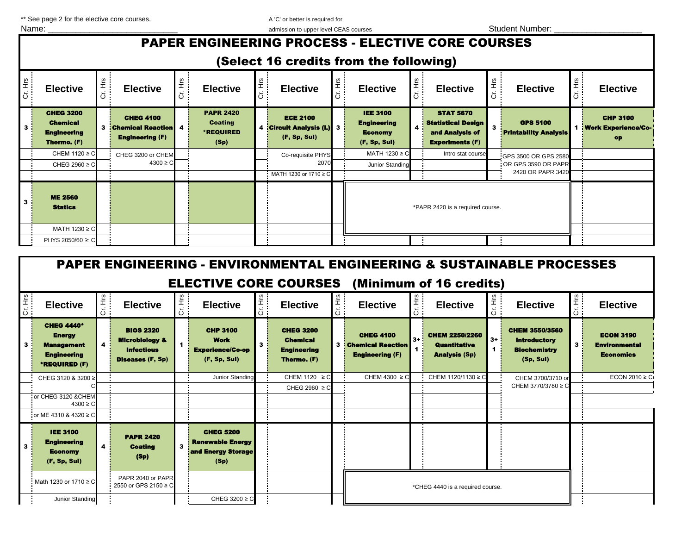\*\* See page 2 for the elective core courses. A 'C' or better is required for

| Name:        |                                                                                                                                             |         |                                                                          |       |                                                                |         | admission to upper level CEAS courses                     |              |                                                                         |  |                                                                                            |         | <b>Student Number:</b>                                           |         |                                                |
|--------------|---------------------------------------------------------------------------------------------------------------------------------------------|---------|--------------------------------------------------------------------------|-------|----------------------------------------------------------------|---------|-----------------------------------------------------------|--------------|-------------------------------------------------------------------------|--|--------------------------------------------------------------------------------------------|---------|------------------------------------------------------------------|---------|------------------------------------------------|
|              | <b>PAPER ENGINEERING PROCESS - ELECTIVE CORE COURSES</b>                                                                                    |         |                                                                          |       |                                                                |         |                                                           |              |                                                                         |  |                                                                                            |         |                                                                  |         |                                                |
|              | (Select 16 credits from the following)                                                                                                      |         |                                                                          |       |                                                                |         |                                                           |              |                                                                         |  |                                                                                            |         |                                                                  |         |                                                |
| Cr. Hrs      | <b>Elective</b>                                                                                                                             | Cr. Hrs | <b>Elective</b>                                                          | Ĕ<br> | <b>Elective</b>                                                | 五<br>ご  | <b>Elective</b>                                           |              | <b>Elective</b>                                                         |  | <b>Elective</b>                                                                            | Cr. Hrs | <b>Elective</b>                                                  | 著       | <b>Elective</b>                                |
| $\mathbf{3}$ | <b>CHEG 3200</b><br><b>Chemical</b><br><b>Engineering</b><br>Thermo, (F)                                                                    |         | <b>CHEG 4100</b><br><b>3</b> Chemical Reaction<br><b>Engineering (F)</b> |       | <b>PAPR 2420</b><br><b>Coating</b><br><b>*REQUIRED</b><br>(Sp) |         | <b>ECE 2100</b><br>4 Circuit Analysis (L)<br>(F, Sp, Sul) | $\mathbf{3}$ | <b>IEE 3100</b><br><b>Engineering</b><br><b>Economy</b><br>(F, Sp, Sul) |  | <b>STAT 5670</b><br><b>Statistical Design</b><br>and Analysis of<br><b>Experiments (F)</b> |         | <b>GPS 5100</b><br><b>Printability Analysis</b>                  |         | <b>CHP 3100</b><br>1 Work Experience/Co-<br>op |
|              | CHEM 1120 ≥ C<br>CHEG 2960 ≥ C                                                                                                              |         | CHEG 3200 or CHEM<br>$4300 \ge C$                                        |       |                                                                |         | Co-requisite PHYS<br>2070<br>MATH 1230 or 1710 ≥ C        |              | MATH 1230 ≥ C<br>Junior Standing                                        |  | Intro stat course                                                                          |         | GPS 3500 OR GPS 2580<br>OR GPS 3590 OR PAPR<br>2420 OR PAPR 3420 |         |                                                |
| 3            | <b>ME 2560</b><br><b>Statics</b>                                                                                                            |         |                                                                          |       |                                                                |         |                                                           |              |                                                                         |  | *PAPR 2420 is a required course.                                                           |         |                                                                  |         |                                                |
|              | MATH 1230 ≥ C                                                                                                                               |         |                                                                          |       |                                                                |         |                                                           |              |                                                                         |  |                                                                                            |         |                                                                  |         |                                                |
|              | PHYS 2050/60 ≥ 0                                                                                                                            |         |                                                                          |       |                                                                |         |                                                           |              |                                                                         |  |                                                                                            |         |                                                                  |         |                                                |
|              | <b>PAPER ENGINEERING - ENVIRONMENTAL ENGINEERING &amp; SUSTAINABLE PROCESSES</b><br><b>ELECTIVE CORE COURSES</b><br>(Minimum of 16 credits) |         |                                                                          |       |                                                                |         |                                                           |              |                                                                         |  |                                                                                            |         |                                                                  |         |                                                |
|              |                                                                                                                                             |         |                                                                          |       |                                                                |         |                                                           |              |                                                                         |  |                                                                                            |         |                                                                  |         |                                                |
| Cr. Hrs      | <b>Elective</b>                                                                                                                             | Cr. Hrs | <b>Elective</b>                                                          |       | <b>Elective</b>                                                | Cr. Hrs | <b>Elective</b>                                           | Ě            | <b>Elective</b>                                                         |  | <b>Elective</b>                                                                            | Ě<br>ä  | <b>Elective</b>                                                  | Cr. Hrs | <b>Elective</b>                                |
|              | <b>CHEG 4440*</b><br><b>Energy</b>                                                                                                          |         | <b>BIOS 2320</b>                                                         |       | <b>CHP 3100</b>                                                |         | <b>CHEG 3200</b>                                          |              | <b>CHEG 4100</b>                                                        |  | CHEM 2250/2260                                                                             |         | <b>CHEM 3550/3560</b>                                            |         | <b>ECON 3190</b>                               |

|         |                                                                                                |                         |                                                                                               |                     | <b>ELECTIVE CORE COURSES</b>                                              |        |                                                                                 |         |                                                                          |         | (Minimum of 16 credits)                                              |           |                                                                                  |         |                                                              |
|---------|------------------------------------------------------------------------------------------------|-------------------------|-----------------------------------------------------------------------------------------------|---------------------|---------------------------------------------------------------------------|--------|---------------------------------------------------------------------------------|---------|--------------------------------------------------------------------------|---------|----------------------------------------------------------------------|-----------|----------------------------------------------------------------------------------|---------|--------------------------------------------------------------|
| Cr. Hrs | <b>Elective</b>                                                                                | Cr. Hrs                 | <b>Elective</b>                                                                               | Ξ<br>$\overline{5}$ | <b>Elective</b>                                                           | 운<br>5 | <b>Elective</b>                                                                 | Cr. Hrs | <b>Elective</b>                                                          | Cr. Hrs | <b>Elective</b>                                                      | Cr. Hrs   | <b>Elective</b>                                                                  | Cr. Hrs | <b>Elective</b>                                              |
| 3       | <b>CHEG 4440*</b><br><b>Energy</b><br><b>Management</b><br><b>Engineering</b><br>*REQUIRED (F) | 4                       | <b>BIOS 2320</b><br><b>Microbiology &amp;</b><br><b>Infectious</b><br><b>Diseases (F, Sp)</b> |                     | <b>CHP 3100</b><br><b>Work</b><br><b>Experience/Co-op</b><br>(F, Sp, Sul) |        | <b>CHEG 3200</b><br><b>Chemical</b><br><b>Engineering</b><br><b>Thermo.</b> (F) |         | <b>CHEG 4100</b><br><b>3 Chemical Reaction</b><br><b>Engineering (F)</b> | $3+$    | <b>CHEM 2250/2260</b><br><b>Quantitative</b><br><b>Analysis (Sp)</b> | $3+$<br>1 | <b>CHEM 3550/3560</b><br><b>Introductory</b><br><b>Biochemistry</b><br>(Sp, Sul) | 3.      | <b>ECON 3190</b><br><b>Environmental</b><br><b>Economics</b> |
|         | CHEG 3120 & 3200 ≥                                                                             |                         |                                                                                               |                     | Junior Standing                                                           |        | CHEM 1120 $\geq$ C                                                              |         | CHEM 4300 $\geq$ C                                                       |         | CHEM 1120/1130 ≥ C                                                   |           | CHEM 3700/3710 or                                                                |         | ECON 2010 $\geq$ C                                           |
|         |                                                                                                |                         |                                                                                               |                     |                                                                           |        | CHEG 2960 $\geq$ C                                                              |         |                                                                          |         |                                                                      |           | CHEM 3770/3780 ≥ C                                                               |         |                                                              |
|         | or CHEG 3120 & CHEM<br>$4300 \ge C$                                                            |                         |                                                                                               |                     |                                                                           |        |                                                                                 |         |                                                                          |         |                                                                      |           |                                                                                  |         |                                                              |
|         | or ME 4310 & 4320 ≥ C                                                                          |                         |                                                                                               |                     |                                                                           |        |                                                                                 |         |                                                                          |         |                                                                      |           |                                                                                  |         |                                                              |
| 3       | <b>IEE 3100</b><br><b>Engineering</b><br><b>Economy</b><br>(F, Sp, Sul)                        | $\overline{\mathbf{4}}$ | <b>PAPR 2420</b><br><b>Coating</b><br>(Sp)                                                    | 3                   | <b>CHEG 5200</b><br><b>Renewable Energy</b><br>and Energy Storage<br>(Sp) |        |                                                                                 |         |                                                                          |         |                                                                      |           |                                                                                  |         |                                                              |
|         | Math 1230 or 1710 ≥ C                                                                          |                         | PAPR 2040 or PAPR<br>2550 or GPS 2150 ≥ C                                                     |                     |                                                                           |        |                                                                                 |         |                                                                          |         | *CHEG 4440 is a required course.                                     |           |                                                                                  |         |                                                              |
|         | Junior Standing                                                                                |                         |                                                                                               |                     | CHEG 3200 ≥ C                                                             |        |                                                                                 |         |                                                                          |         |                                                                      |           |                                                                                  |         |                                                              |